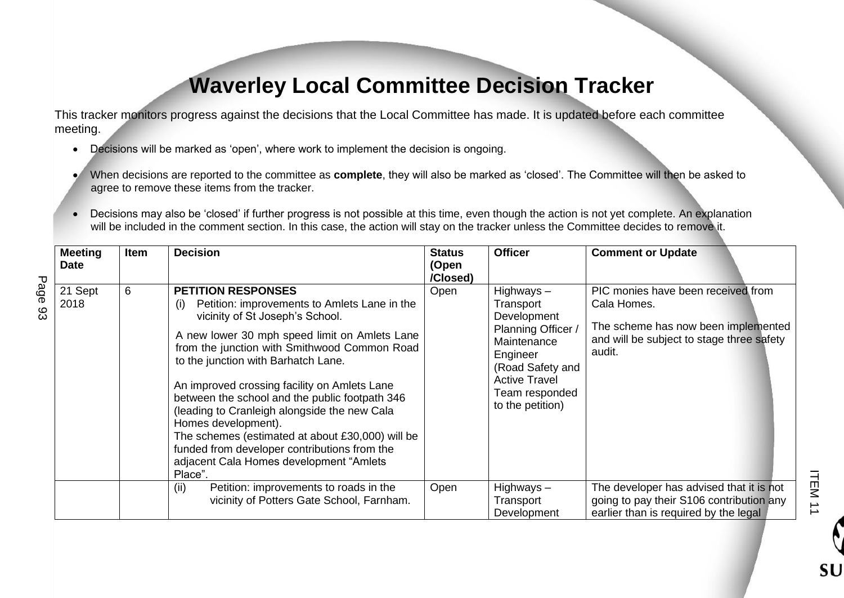## **Waverley Local Committee Decision Tracker**

This tracker monitors progress against the decisions that the Local Committee has made. It is updated before each committee meeting.

- Decisions will be marked as 'open', where work to implement the decision is ongoing.
- When decisions are reported to the committee as **complete**, they will also be marked as 'closed'. The Committee will then be asked to agree to remove these items from the tracker.
- Decisions may also be 'closed' if further progress is not possible at this time, even though the action is not yet complete. An explanation will be included in the comment section. In this case, the action will stay on the tracker unless the Committee decides to remove it.

|             | <b>Meeting</b><br><b>Date</b> | Item | <b>Decision</b>                                                                                                                                                                                                                                                                                                                                                                                                                                                                                                                                                                     | <b>Status</b><br>(Open | <b>Officer</b>                                                                                                                                                              | <b>Comment or Update</b>                                                                                                                        |
|-------------|-------------------------------|------|-------------------------------------------------------------------------------------------------------------------------------------------------------------------------------------------------------------------------------------------------------------------------------------------------------------------------------------------------------------------------------------------------------------------------------------------------------------------------------------------------------------------------------------------------------------------------------------|------------------------|-----------------------------------------------------------------------------------------------------------------------------------------------------------------------------|-------------------------------------------------------------------------------------------------------------------------------------------------|
| Page<br>ပ္လ | 21 Sept<br>2018               | 6    | <b>PETITION RESPONSES</b><br>Petition: improvements to Amlets Lane in the<br>(i)<br>vicinity of St Joseph's School.<br>A new lower 30 mph speed limit on Amlets Lane<br>from the junction with Smithwood Common Road<br>to the junction with Barhatch Lane.<br>An improved crossing facility on Amlets Lane<br>between the school and the public footpath 346<br>(leading to Cranleigh alongside the new Cala<br>Homes development).<br>The schemes (estimated at about £30,000) will be<br>funded from developer contributions from the<br>adjacent Cala Homes development "Amlets | /Closed)<br>Open       | Highways $-$<br>Transport<br>Development<br>Planning Officer /<br>Maintenance<br>Engineer<br>(Road Safety and<br><b>Active Travel</b><br>Team responded<br>to the petition) | PIC monies have been received from<br>Cala Homes.<br>The scheme has now been implemented<br>and will be subject to stage three safety<br>audit. |
|             |                               |      | Place".<br>(ii)<br>Petition: improvements to roads in the<br>vicinity of Potters Gate School, Farnham.                                                                                                                                                                                                                                                                                                                                                                                                                                                                              | Open                   | Highways $-$<br>Transport<br>Development                                                                                                                                    | The developer has advised that it is not<br>going to pay their S106 contribution any<br>earlier than is required by the legal                   |

ITEM 11

SU